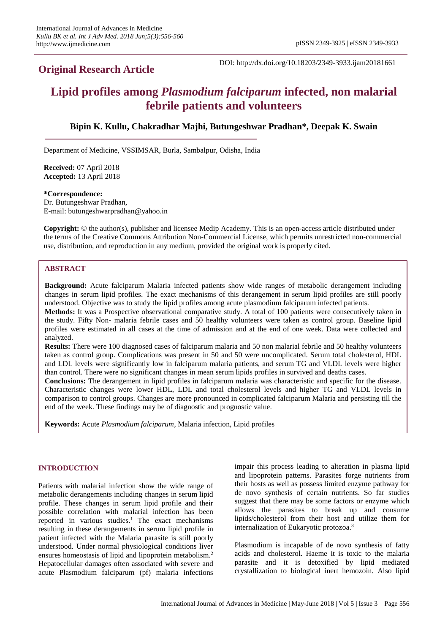# **Original Research Article**

DOI: http://dx.doi.org/10.18203/2349-3933.ijam20181661

# **Lipid profiles among** *Plasmodium falciparum* **infected, non malarial febrile patients and volunteers**

# **Bipin K. Kullu, Chakradhar Majhi, Butungeshwar Pradhan\*, Deepak K. Swain**

Department of Medicine, VSSIMSAR, Burla, Sambalpur, Odisha, India

**Received:** 07 April 2018 **Accepted:** 13 April 2018

**\*Correspondence:** Dr. Butungeshwar Pradhan, E-mail: butungeshwarpradhan@yahoo.in

**Copyright:** © the author(s), publisher and licensee Medip Academy. This is an open-access article distributed under the terms of the Creative Commons Attribution Non-Commercial License, which permits unrestricted non-commercial use, distribution, and reproduction in any medium, provided the original work is properly cited.

#### **ABSTRACT**

**Background:** Acute falciparum Malaria infected patients show wide ranges of metabolic derangement including changes in serum lipid profiles. The exact mechanisms of this derangement in serum lipid profiles are still poorly understood. Objective was to study the lipid profiles among acute plasmodium falciparum infected patients.

**Methods:** It was a Prospective observational comparative study. A total of 100 patients were consecutively taken in the study. Fifty Non- malaria febrile cases and 50 healthy volunteers were taken as control group. Baseline lipid profiles were estimated in all cases at the time of admission and at the end of one week. Data were collected and analyzed.

**Results:** There were 100 diagnosed cases of falciparum malaria and 50 non malarial febrile and 50 healthy volunteers taken as control group. Complications was present in 50 and 50 were uncomplicated. Serum total cholesterol, HDL and LDL levels were significantly low in falciparum malaria patients, and serum TG and VLDL levels were higher than control. There were no significant changes in mean serum lipids profiles in survived and deaths cases.

**Conclusions:** The derangement in lipid profiles in falciparum malaria was characteristic and specific for the disease. Characteristic changes were lower HDL, LDL and total cholesterol levels and higher TG and VLDL levels in comparison to control groups. Changes are more pronounced in complicated falciparum Malaria and persisting till the end of the week. These findings may be of diagnostic and prognostic value.

**Keywords:** Acute *Plasmodium falciparum,* Malaria infection, Lipid profiles

#### **INTRODUCTION**

Patients with malarial infection show the wide range of metabolic derangements including changes in serum lipid profile. These changes in serum lipid profile and their possible correlation with malarial infection has been reported in various studies.<sup>1</sup> The exact mechanisms resulting in these derangements in serum lipid profile in patient infected with the Malaria parasite is still poorly understood. Under normal physiological conditions liver ensures homeostasis of lipid and lipoprotein metabolism. 2 Hepatocellular damages often associated with severe and acute Plasmodium falciparum (pf) malaria infections impair this process leading to alteration in plasma lipid and lipoprotein patterns. Parasites forge nutrients from their hosts as well as possess limited enzyme pathway for de novo synthesis of certain nutrients. So far studies suggest that there may be some factors or enzyme which allows the parasites to break up and consume lipids/cholesterol from their host and utilize them for internalization of Eukaryotic protozoa.<sup>3</sup>

Plasmodium is incapable of de novo synthesis of fatty acids and cholesterol. Haeme it is toxic to the malaria parasite and it is detoxified by lipid mediated crystallization to biological inert hemozoin. Also lipid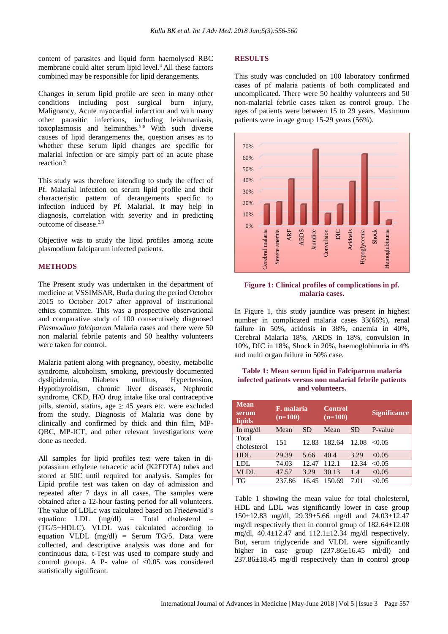content of parasites and liquid form haemolysed RBC membrane could alter serum lipid level. <sup>4</sup>All these factors combined may be responsible for lipid derangements.

Changes in serum lipid profile are seen in many other conditions including post surgical burn injury, Malignancy, Acute myocardial infarction and with many other parasitic infections, including leishmaniasis, toxoplasmosis and helminthes.<sup>5-8</sup> With such diverse causes of lipid derangements the, question arises as to whether these serum lipid changes are specific for malarial infection or are simply part of an acute phase reaction?

This study was therefore intending to study the effect of Pf. Malarial infection on serum lipid profile and their characteristic pattern of derangements specific to infection induced by Pf. Malarial. It may help in diagnosis, correlation with severity and in predicting outcome of disease. 2,3

Objective was to study the lipid profiles among acute plasmodium falciparum infected patients.

#### **METHODS**

The Present study was undertaken in the department of medicine at VSSIMSAR, Burla during the period October 2015 to October 2017 after approval of institutional ethics committee. This was a prospective observational and comparative study of 100 consecutively diagnosed *Plasmodium falciparum* Malaria cases and there were 50 non malarial febrile patents and 50 healthy volunteers were taken for control.

Malaria patient along with pregnancy, obesity, metabolic syndrome, alcoholism, smoking, previously documented dyslipidemia, Diabetes mellitus, Hypertension, Hypothyroidism, chronic liver diseases, Nephrotic syndrome, CKD, H/O drug intake like oral contraceptive pills, steroid, statins, age  $\geq$  45 years etc. were excluded from the study. Diagnosis of Malaria was done by clinically and confirmed by thick and thin film, MP-QBC, MP-ICT, and other relevant investigations were done as needed.

All samples for lipid profiles test were taken in dipotassium ethylene tetracetic acid (K2EDTA) tubes and stored at 50C until required for analysis. Samples for Lipid profile test was taken on day of admission and repeated after 7 days in all cases. The samples were obtained after a 12-hour fasting period for all volunteers. The value of LDLc was calculated based on Friedewald's equation: LDL (mg/dl) = Total cholesterol – (TG/5+HDLC). VLDL was calculated according to equation VLDL  $(mg/dl)$  = Serum TG/5. Data were collected, and descriptive analysis was done and for continuous data, t-Test was used to compare study and control groups. A P- value of  $< 0.05$  was considered statistically significant.

#### **RESULTS**

This study was concluded on 100 laboratory confirmed cases of pf malaria patients of both complicated and uncomplicated. There were 50 healthy volunteers and 50 non-malarial febrile cases taken as control group. The ages of patients were between 15 to 29 years. Maximum patients were in age group 15-29 years (56%).



#### **Figure 1: Clinical profiles of complications in pf. malaria cases.**

In Figure 1, this study jaundice was present in highest number in complicated malaria cases 33(66%), renal failure in 50%, acidosis in 38%, anaemia in 40%, Cerebral Malaria 18%, ARDS in 18%, convulsion in 10%, DIC in 18%, Shock in 20%, haemoglobinuria in 4% and multi organ failure in 50% case.

#### **Table 1: Mean serum lipid in Falciparum malaria infected patients versus non malarial febrile patients and volunteers.**

| <b>Mean</b><br>serum<br>lipids | F. malaria<br>$(n=100)$ |           | <b>Control</b><br>$(n=100)$ |           | <b>Significance</b> |
|--------------------------------|-------------------------|-----------|-----------------------------|-----------|---------------------|
| In $mg/dl$                     | Mean                    | <b>SD</b> | Mean                        | <b>SD</b> | P-value             |
| Total<br>cholesterol           | 151                     | 12.83     | 182.64                      | 12.08     | <0.05               |
| HDL                            | 29.39                   | 5.66      | 40.4                        | 3.29      | < 0.05              |
| LDL                            | 74.03                   | 12.47     | 112.1                       | 12.34     | < 0.05              |
| VLDL                           | 47.57                   | 3.29      | 30.13                       | 1.4       | < 0.05              |
| TG                             | 237.86                  | 16.45     | 150.69                      | 7.01      | < 0.05              |

Table 1 showing the mean value for total cholesterol, HDL and LDL was significantly lower in case group 150±12.83 mg/dl, 29.39±5.66 mg/dl and 74.03±12.47 mg/dl respectively then in control group of 182.64±12.08 mg/dl,  $40.4 \pm 12.47$  and  $112.1 \pm 12.34$  mg/dl respectively. But, serum triglyceride and VLDL were significantly higher in case group  $(237.86\pm16.45 \text{ ml/dl})$  and 237.86±18.45 mg/dl respectively than in control group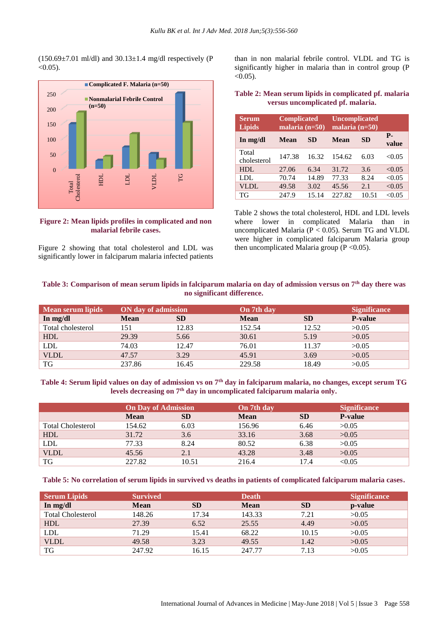$(150.69\pm7.01 \text{ ml/dl})$  and  $30.13\pm1.4 \text{ mg/dl}$  respectively (P  $< 0.05$ ).



**Figure 2: Mean lipids profiles in complicated and non malarial febrile cases.**

Figure 2 showing that total cholesterol and LDL was significantly lower in falciparum malaria infected patients than in non malarial febrile control. VLDL and TG is significantly higher in malaria than in control group (P  $< 0.05$ ).

#### **Table 2: Mean serum lipids in complicated pf. malaria versus uncomplicated pf. malaria.**

| <b>Serum</b><br><b>Lipids</b> | <b>Complicated</b><br>malaria $(n=50)$ |           | <b>Uncomplicated</b><br>malaria $(n=50)$ |           |                    |
|-------------------------------|----------------------------------------|-----------|------------------------------------------|-----------|--------------------|
| In mg/dl                      | <b>Mean</b>                            | <b>SD</b> | Mean                                     | <b>SD</b> | <b>P.</b><br>value |
| Total<br>cholesterol          | 147.38                                 | 16.32     | 154.62                                   | 6.03      | < 0.05             |
| HDL                           | 27.06                                  | 6.34      | 31.72                                    | 3.6       | < 0.05             |
| LDL                           | 70.74                                  | 14.89     | 77.33                                    | 8.24      | < 0.05             |
| <b>VLDL</b>                   | 49.58                                  | 3.02      | 45.56                                    | 2.1       | < 0.05             |
| TG                            | 247.9                                  | 15.14     | 227.82                                   | 10.51     | < 0.05             |

Table 2 shows the total cholesterol, HDL and LDL levels where lower in complicated Malaria than in uncomplicated Malaria ( $P < 0.05$ ). Serum TG and VLDL were higher in complicated falciparum Malaria group then uncomplicated Malaria group ( $P < 0.05$ ).

### **Table 3: Comparison of mean serum lipids in falciparum malaria on day of admission versus on 7th day there was no significant difference.**

| Mean serum lipids | ON day of admission |           | On 7th day  |           | <b>Significance</b> |
|-------------------|---------------------|-----------|-------------|-----------|---------------------|
| In $mg/dl$        | <b>Mean</b>         | <b>SD</b> | <b>Mean</b> | <b>SD</b> | <b>P-value</b>      |
| Total cholesterol | 151                 | 12.83     | 152.54      | 12.52     | >0.05               |
| HDL               | 29.39               | 5.66      | 30.61       | 5.19      | >0.05               |
| <b>LDL</b>        | 74.03               | 12.47     | 76.01       | 11.37     | >0.05               |
| <b>VLDL</b>       | 47.57               | 3.29      | 45.91       | 3.69      | >0.05               |
| TG                | 237.86              | 16.45     | 229.58      | 18.49     | >0.05               |

**Table 4: Serum lipid values on day of admission vs on 7th day in falciparum malaria, no changes, except serum TG levels decreasing on 7th day in uncomplicated falciparum malaria only.**

|                          | <b>On Day of Admission</b> |           | On 7th day  |           | <b>Significance</b> |
|--------------------------|----------------------------|-----------|-------------|-----------|---------------------|
|                          | <b>Mean</b>                | <b>SD</b> | <b>Mean</b> | <b>SD</b> | <b>P-value</b>      |
| <b>Total Cholesterol</b> | 154.62                     | 6.03      | 156.96      | 6.46      | >0.05               |
| <b>HDL</b>               | 31.72                      | 3.6       | 33.16       | 3.68      | >0.05               |
| <b>LDL</b>               | 77.33                      | 8.24      | 80.52       | 6.38      | >0.05               |
| <b>VLDL</b>              | 45.56                      | 2.1       | 43.28       | 3.48      | >0.05               |
| TG                       | 227.82                     | 10.51     | 216.4       | 17.4      | < 0.05              |

**Table 5: No correlation of serum lipids in survived vs deaths in patients of complicated falciparum malaria cases.**

| <b>Serum Lipids</b>      | <b>Survived</b> |           | <b>Death</b> |           | <b>Significance</b> |
|--------------------------|-----------------|-----------|--------------|-----------|---------------------|
| In $mg/dl$               | <b>Mean</b>     | <b>SD</b> | <b>Mean</b>  | <b>SD</b> | p-value             |
| <b>Total Cholesterol</b> | 148.26          | 17.34     | 143.33       | 7.21      | >0.05               |
| <b>HDL</b>               | 27.39           | 6.52      | 25.55        | 4.49      | >0.05               |
| LDL                      | 71.29           | 15.41     | 68.22        | 10.15     | >0.05               |
| <b>VLDL</b>              | 49.58           | 3.23      | 49.55        | 1.42      | >0.05               |
| TG                       | 247.92          | 16.15     | 247.77       | 7.13      | >0.05               |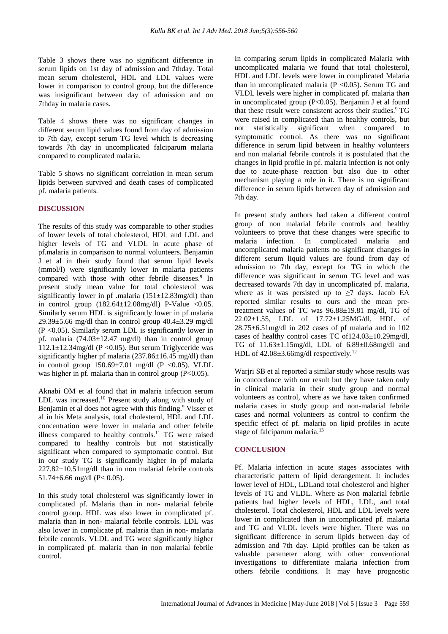Table 3 shows there was no significant difference in serum lipids on 1st day of admission and 7thday. Total mean serum cholesterol, HDL and LDL values were lower in comparison to control group, but the difference was insignificant between day of admission and on 7thday in malaria cases.

Table 4 shows there was no significant changes in different serum lipid values found from day of admission to 7th day, except serum TG level which is decreasing towards 7th day in uncomplicated falciparum malaria compared to complicated malaria.

Table 5 shows no significant correlation in mean serum lipids between survived and death cases of complicated pf. malaria patients.

#### **DISCUSSION**

The results of this study was comparable to other studies of lower levels of total cholesterol, HDL and LDL and higher levels of TG and VLDL in acute phase of pf.malaria in comparison to normal volunteers. Benjamin J et al in their study found that serum lipid levels (mmol/l) were significantly lower in malaria patients compared with those with other febrile diseases.<sup>9</sup> In present study mean value for total cholesterol was significantly lower in pf .malaria  $(151 \pm 12.83 \text{mg/dl})$  than in control group  $(182.64 \pm 12.08 \text{mg/dl})$  P-Value <0.05. Similarly serum HDL is significantly lower in pf malaria 29.39 $\pm$ 5.66 mg/dl than in control group 40.4 $\pm$ 3.29 mg/dl (P <0.05). Similarly serum LDL is significantly lower in pf. malaria  $(74.03 \pm 12.47 \text{ mg/dl})$  than in control group  $112.1\pm12.34$ mg/dl (P < 0.05). But serum Triglyceride was significantly higher pf malaria  $(237.86\pm16.45 \text{ mg/dl})$  than in control group  $150.69 \pm 7.01$  mg/dl (P <0.05). VLDL was higher in pf. malaria than in control group (P<0.05).

Aknabi OM et al found that in malaria infection serum LDL was increased.<sup>10</sup> Present study along with study of Benjamin et al does not agree with this finding.<sup>9</sup> Visser et al in his Meta analysis, total cholesterol, HDL and LDL concentration were lower in malaria and other febrile illness compared to healthy controls.<sup>11</sup> TG were raised compared to healthy controls but not statistically significant when compared to symptomatic control. But in our study TG is significantly higher in pf malaria 227.82±10.51mg/dl than in non malarial febrile controls 51.74 $\pm$ 6.66 mg/dl (P< 0.05).

In this study total cholesterol was significantly lower in complicated pf. Malaria than in non- malarial febrile control group. HDL was also lower in complicated pf. malaria than in non- malarial febrile controls. LDL was also lower in complicate pf. malaria than in non- malaria febrile controls. VLDL and TG were significantly higher in complicated pf. malaria than in non malarial febrile control.

In comparing serum lipids in complicated Malaria with uncomplicated malaria we found that total cholesterol, HDL and LDL levels were lower in complicated Malaria than in uncomplicated malaria  $(P \le 0.05)$ . Serum TG and VLDL levels were higher in complicated pf. malaria than in uncomplicated group (P<0.05). Benjamin J et al found that these result were consistent across their studies.<sup>9</sup> TG were raised in complicated than in healthy controls, but not statistically significant when compared to symptomatic control. As there was no significant difference in serum lipid between in healthy volunteers and non malarial febrile controls it is postulated that the changes in lipid profile in pf. malaria infection is not only due to acute-phase reaction but also due to other mechanism playing a role in it. There is no significant difference in serum lipids between day of admission and 7th day.

In present study authors had taken a different control group of non malarial febrile controls and healthy volunteers to prove that these changes were specific to malaria infection. In complicated malaria and uncomplicated malaria patients no significant changes in different serum liquid values are found from day of admission to 7th day, except for TG in which the difference was significant in serum TG level and was decreased towards 7th day in uncomplicated pf. malaria, where as it was persisted up to  $\geq$ 7 days. Jacob EA reported similar results to ours and the mean pretreatment values of TC was 96.88±19.81 mg/dl, TG of 22.02±1.55, LDL of 17.72±1.25MG/dl, HDL of  $28.75\pm6.51$  mg/dl in 202 cases of pf malaria and in 102 cases of healthy control cases TC of124.03±10.29mg/dl, TG of 11.63±1.15mg/dl, LDL of 6.89±0.68mg/dl and HDL of  $42.08\pm3.66$ mg/dl respectively.<sup>12</sup>

Warjri SB et al reported a similar study whose results was in concordance with our result but they have taken only in clinical malaria in their study group and normal volunteers as control, where as we have taken confirmed malaria cases in study group and non-malarial febrile cases and normal volunteers as control to confirm the specific effect of pf. malaria on lipid profiles in acute stage of falciparum malaria.<sup>13</sup>

## **CONCLUSION**

Pf. Malaria infection in acute stages associates with characteristic pattern of lipid derangement. It includes lower level of HDL, LDLand total cholesterol and higher levels of TG and VLDL. Where as Non malarial febrile patients had higher levels of HDL, LDL, and total cholesterol. Total cholesterol, HDL and LDL levels were lower in complicated than in uncomplicated pf. malaria and TG and VLDL levels were higher. There was no significant difference in serum lipids between day of admission and 7th day. Lipid profiles can be taken as valuable parameter along with other conventional investigations to differentiate malaria infection from others febrile conditions. It may have prognostic